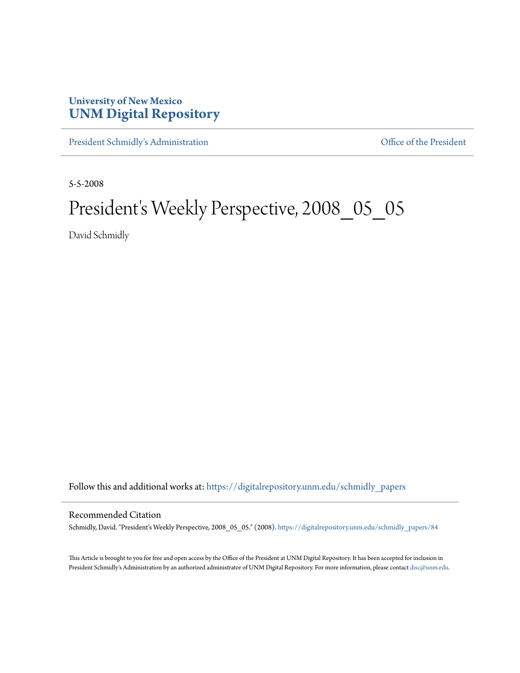# **University of New Mexico [UNM Digital Repository](https://digitalrepository.unm.edu?utm_source=digitalrepository.unm.edu%2Fschmidly_papers%2F84&utm_medium=PDF&utm_campaign=PDFCoverPages)**

[President Schmidly's Administration](https://digitalrepository.unm.edu/schmidly_papers?utm_source=digitalrepository.unm.edu%2Fschmidly_papers%2F84&utm_medium=PDF&utm_campaign=PDFCoverPages) [Office of the President](https://digitalrepository.unm.edu/ofc_president?utm_source=digitalrepository.unm.edu%2Fschmidly_papers%2F84&utm_medium=PDF&utm_campaign=PDFCoverPages)

5-5-2008

# President's Weekly Perspective, 2008\_05\_05

David Schmidly

Follow this and additional works at: [https://digitalrepository.unm.edu/schmidly\\_papers](https://digitalrepository.unm.edu/schmidly_papers?utm_source=digitalrepository.unm.edu%2Fschmidly_papers%2F84&utm_medium=PDF&utm_campaign=PDFCoverPages)

#### Recommended Citation

Schmidly, David. "President's Weekly Perspective, 2008\_05\_05." (2008). [https://digitalrepository.unm.edu/schmidly\\_papers/84](https://digitalrepository.unm.edu/schmidly_papers/84?utm_source=digitalrepository.unm.edu%2Fschmidly_papers%2F84&utm_medium=PDF&utm_campaign=PDFCoverPages)

This Article is brought to you for free and open access by the Office of the President at UNM Digital Repository. It has been accepted for inclusion in President Schmidly's Administration by an authorized administrator of UNM Digital Repository. For more information, please contact [disc@unm.edu](mailto:disc@unm.edu).